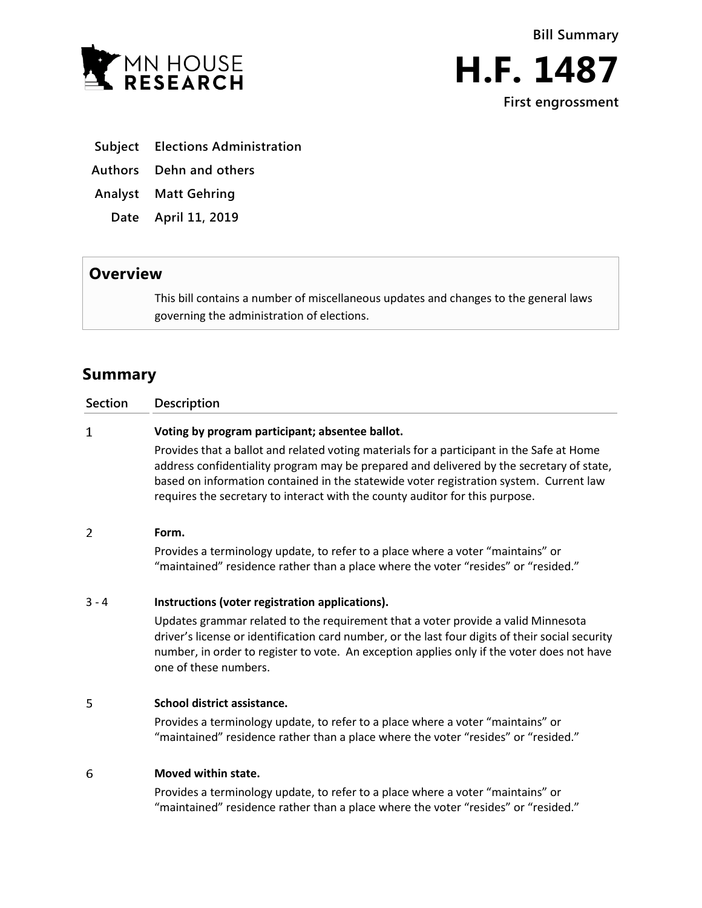



**First engrossment**

- **Subject Elections Administration**
- **Authors Dehn and others**
- **Analyst Matt Gehring**
	- **Date April 11, 2019**

# **Overview**

This bill contains a number of miscellaneous updates and changes to the general laws governing the administration of elections.

# **Summary**

| <b>Section</b> | <b>Description</b>                                                                                                                                                                                                                                                                                                                                              |
|----------------|-----------------------------------------------------------------------------------------------------------------------------------------------------------------------------------------------------------------------------------------------------------------------------------------------------------------------------------------------------------------|
| 1              | Voting by program participant; absentee ballot.                                                                                                                                                                                                                                                                                                                 |
|                | Provides that a ballot and related voting materials for a participant in the Safe at Home<br>address confidentiality program may be prepared and delivered by the secretary of state,<br>based on information contained in the statewide voter registration system. Current law<br>requires the secretary to interact with the county auditor for this purpose. |
| 2              | Form.                                                                                                                                                                                                                                                                                                                                                           |
|                | Provides a terminology update, to refer to a place where a voter "maintains" or<br>"maintained" residence rather than a place where the voter "resides" or "resided."                                                                                                                                                                                           |
| $3 - 4$        | Instructions (voter registration applications).                                                                                                                                                                                                                                                                                                                 |
|                | Updates grammar related to the requirement that a voter provide a valid Minnesota<br>driver's license or identification card number, or the last four digits of their social security<br>number, in order to register to vote. An exception applies only if the voter does not have<br>one of these numbers.                                                    |
| 5              | School district assistance.                                                                                                                                                                                                                                                                                                                                     |
|                | Drovides a terminales: undate to refer to a place where a veter "maintaine" or                                                                                                                                                                                                                                                                                  |

Provides a terminology update, to refer to a place where a voter "maintains" or "maintained" residence rather than a place where the voter "resides" or "resided."

#### 6 **Moved within state.**

Provides a terminology update, to refer to a place where a voter "maintains" or "maintained" residence rather than a place where the voter "resides" or "resided."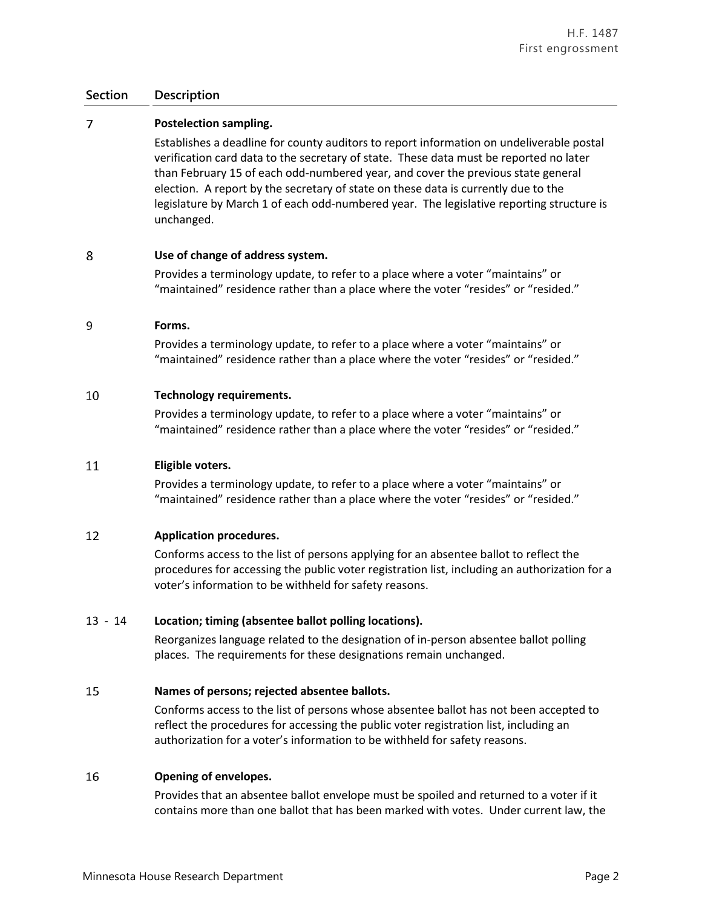#### $\overline{7}$ **Postelection sampling.**

Establishes a deadline for county auditors to report information on undeliverable postal verification card data to the secretary of state. These data must be reported no later than February 15 of each odd-numbered year, and cover the previous state general election. A report by the secretary of state on these data is currently due to the legislature by March 1 of each odd-numbered year. The legislative reporting structure is unchanged.

#### 8 **Use of change of address system.**

Provides a terminology update, to refer to a place where a voter "maintains" or "maintained" residence rather than a place where the voter "resides" or "resided."

#### 9 **Forms.**

Provides a terminology update, to refer to a place where a voter "maintains" or "maintained" residence rather than a place where the voter "resides" or "resided."

#### 10 **Technology requirements.**

Provides a terminology update, to refer to a place where a voter "maintains" or "maintained" residence rather than a place where the voter "resides" or "resided."

#### **Eligible voters.** 11

Provides a terminology update, to refer to a place where a voter "maintains" or "maintained" residence rather than a place where the voter "resides" or "resided."

#### 12 **Application procedures.**

Conforms access to the list of persons applying for an absentee ballot to reflect the procedures for accessing the public voter registration list, including an authorization for a voter's information to be withheld for safety reasons.

# 13 - 14 **Location; timing (absentee ballot polling locations).**

Reorganizes language related to the designation of in-person absentee ballot polling places. The requirements for these designations remain unchanged.

#### 15 **Names of persons; rejected absentee ballots.**

Conforms access to the list of persons whose absentee ballot has not been accepted to reflect the procedures for accessing the public voter registration list, including an authorization for a voter's information to be withheld for safety reasons.

#### 16 **Opening of envelopes.**

Provides that an absentee ballot envelope must be spoiled and returned to a voter if it contains more than one ballot that has been marked with votes. Under current law, the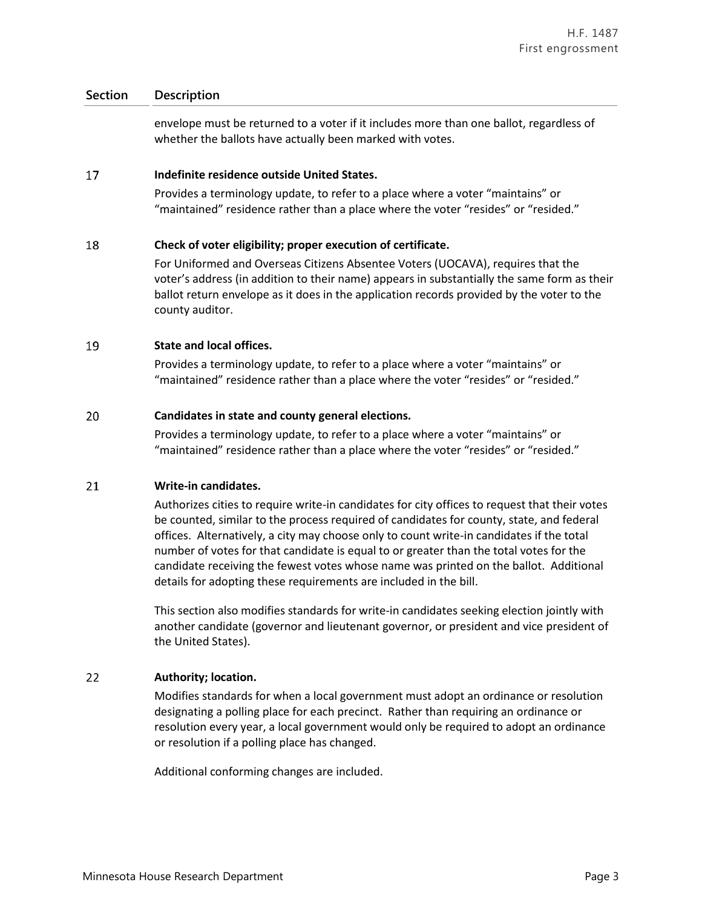envelope must be returned to a voter if it includes more than one ballot, regardless of whether the ballots have actually been marked with votes.

#### 17 **Indefinite residence outside United States.**

Provides a terminology update, to refer to a place where a voter "maintains" or "maintained" residence rather than a place where the voter "resides" or "resided."

#### 18 **Check of voter eligibility; proper execution of certificate.**

For Uniformed and Overseas Citizens Absentee Voters (UOCAVA), requires that the voter's address (in addition to their name) appears in substantially the same form as their ballot return envelope as it does in the application records provided by the voter to the county auditor.

#### 19 **State and local offices.**

Provides a terminology update, to refer to a place where a voter "maintains" or "maintained" residence rather than a place where the voter "resides" or "resided."

#### 20 **Candidates in state and county general elections.**

Provides a terminology update, to refer to a place where a voter "maintains" or "maintained" residence rather than a place where the voter "resides" or "resided."

#### 21 **Write-in candidates.**

Authorizes cities to require write-in candidates for city offices to request that their votes be counted, similar to the process required of candidates for county, state, and federal offices. Alternatively, a city may choose only to count write-in candidates if the total number of votes for that candidate is equal to or greater than the total votes for the candidate receiving the fewest votes whose name was printed on the ballot. Additional details for adopting these requirements are included in the bill.

This section also modifies standards for write-in candidates seeking election jointly with another candidate (governor and lieutenant governor, or president and vice president of the United States).

#### 22 **Authority; location.**

Modifies standards for when a local government must adopt an ordinance or resolution designating a polling place for each precinct. Rather than requiring an ordinance or resolution every year, a local government would only be required to adopt an ordinance or resolution if a polling place has changed.

Additional conforming changes are included.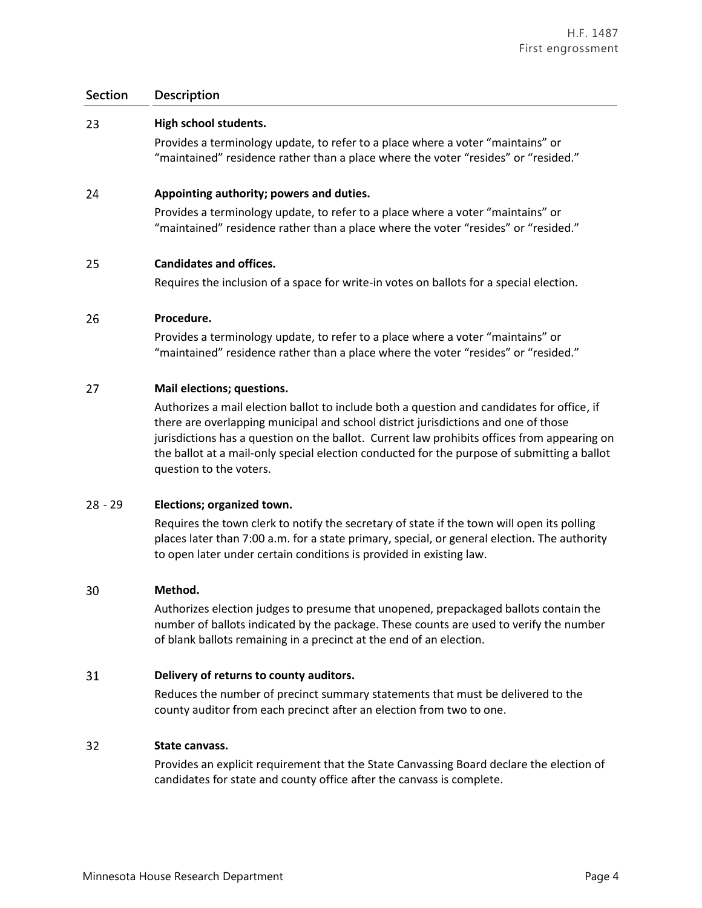#### 23 **High school students.**

Provides a terminology update, to refer to a place where a voter "maintains" or "maintained" residence rather than a place where the voter "resides" or "resided."

#### 24 **Appointing authority; powers and duties.**

Provides a terminology update, to refer to a place where a voter "maintains" or "maintained" residence rather than a place where the voter "resides" or "resided."

#### 25 **Candidates and offices.**

Requires the inclusion of a space for write-in votes on ballots for a special election.

#### 26 **Procedure.**

Provides a terminology update, to refer to a place where a voter "maintains" or "maintained" residence rather than a place where the voter "resides" or "resided."

#### 27 **Mail elections; questions.**

Authorizes a mail election ballot to include both a question and candidates for office, if there are overlapping municipal and school district jurisdictions and one of those jurisdictions has a question on the ballot. Current law prohibits offices from appearing on the ballot at a mail-only special election conducted for the purpose of submitting a ballot question to the voters.

# - 29 **Elections; organized town.**

Requires the town clerk to notify the secretary of state if the town will open its polling places later than 7:00 a.m. for a state primary, special, or general election. The authority to open later under certain conditions is provided in existing law.

#### 30 **Method.**

Authorizes election judges to presume that unopened, prepackaged ballots contain the number of ballots indicated by the package. These counts are used to verify the number of blank ballots remaining in a precinct at the end of an election.

#### 31 **Delivery of returns to county auditors.**

Reduces the number of precinct summary statements that must be delivered to the county auditor from each precinct after an election from two to one.

#### 32 **State canvass.**

Provides an explicit requirement that the State Canvassing Board declare the election of candidates for state and county office after the canvass is complete.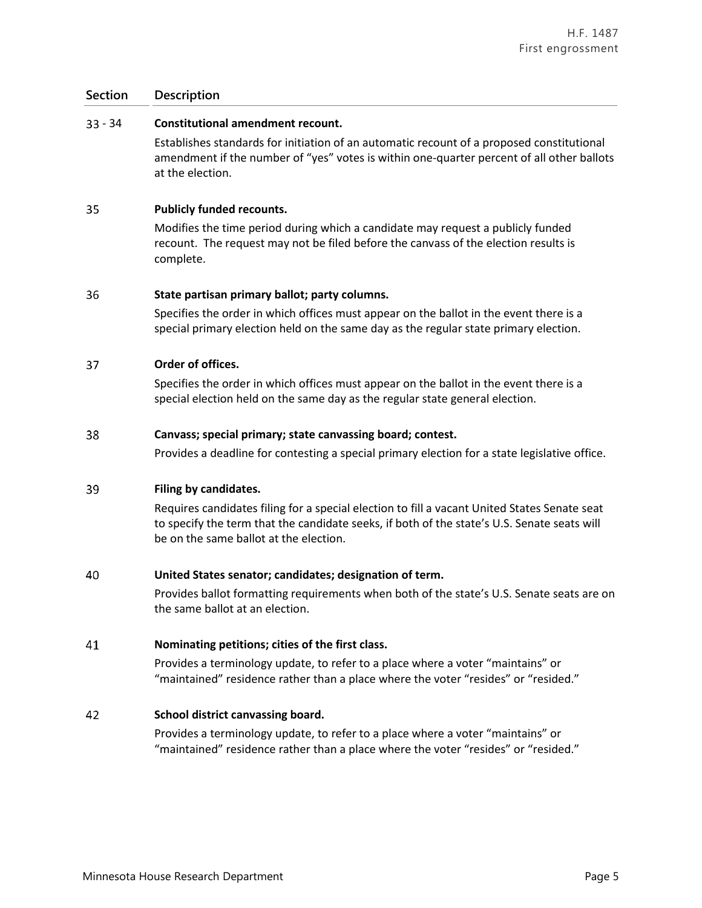# - 34 **Constitutional amendment recount.**

Establishes standards for initiation of an automatic recount of a proposed constitutional amendment if the number of "yes" votes is within one-quarter percent of all other ballots at the election.

#### 35 **Publicly funded recounts.**

Modifies the time period during which a candidate may request a publicly funded recount. The request may not be filed before the canvass of the election results is complete.

#### 36 **State partisan primary ballot; party columns.**

Specifies the order in which offices must appear on the ballot in the event there is a special primary election held on the same day as the regular state primary election.

#### 37 **Order of offices.**

Specifies the order in which offices must appear on the ballot in the event there is a special election held on the same day as the regular state general election.

#### 38 **Canvass; special primary; state canvassing board; contest.**

Provides a deadline for contesting a special primary election for a state legislative office.

#### 39 **Filing by candidates.**

Requires candidates filing for a special election to fill a vacant United States Senate seat to specify the term that the candidate seeks, if both of the state's U.S. Senate seats will be on the same ballot at the election.

#### 40 **United States senator; candidates; designation of term.**

Provides ballot formatting requirements when both of the state's U.S. Senate seats are on the same ballot at an election.

#### 41 **Nominating petitions; cities of the first class.**

Provides a terminology update, to refer to a place where a voter "maintains" or "maintained" residence rather than a place where the voter "resides" or "resided."

#### 42 **School district canvassing board.**

Provides a terminology update, to refer to a place where a voter "maintains" or "maintained" residence rather than a place where the voter "resides" or "resided."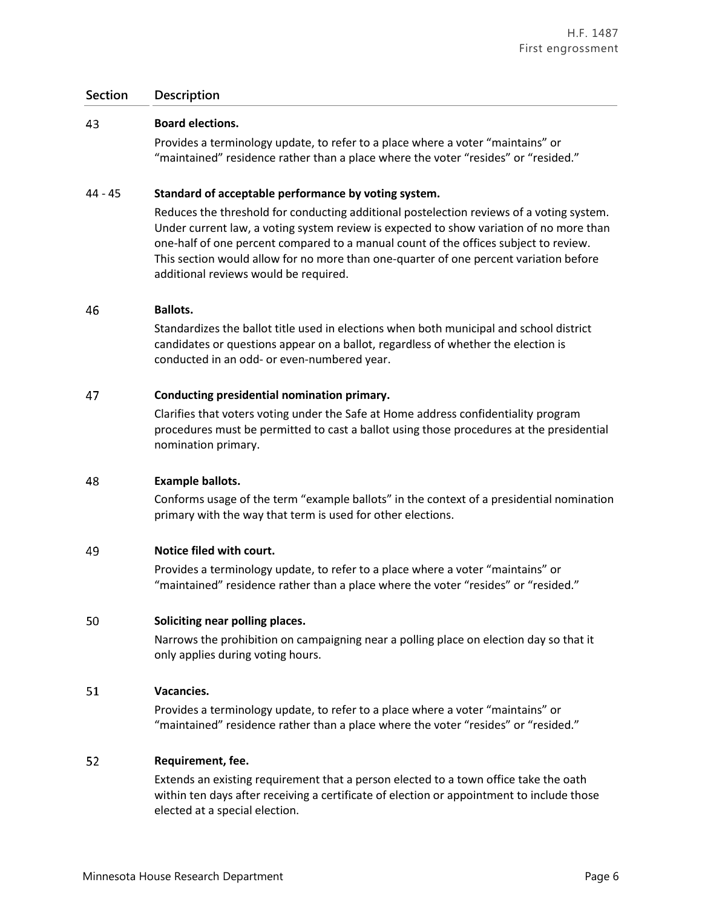#### 43 **Board elections.**

Provides a terminology update, to refer to a place where a voter "maintains" or "maintained" residence rather than a place where the voter "resides" or "resided."

# 44 - 45 **Standard of acceptable performance by voting system.**

Reduces the threshold for conducting additional postelection reviews of a voting system. Under current law, a voting system review is expected to show variation of no more than one-half of one percent compared to a manual count of the offices subject to review. This section would allow for no more than one-quarter of one percent variation before additional reviews would be required.

#### 46 **Ballots.**

Standardizes the ballot title used in elections when both municipal and school district candidates or questions appear on a ballot, regardless of whether the election is conducted in an odd- or even-numbered year.

#### 47 **Conducting presidential nomination primary.**

Clarifies that voters voting under the Safe at Home address confidentiality program procedures must be permitted to cast a ballot using those procedures at the presidential nomination primary.

#### 48 **Example ballots.**

Conforms usage of the term "example ballots" in the context of a presidential nomination primary with the way that term is used for other elections.

#### 49 **Notice filed with court.**

Provides a terminology update, to refer to a place where a voter "maintains" or "maintained" residence rather than a place where the voter "resides" or "resided."

#### 50 **Soliciting near polling places.**

Narrows the prohibition on campaigning near a polling place on election day so that it only applies during voting hours.

#### 51 **Vacancies.**

Provides a terminology update, to refer to a place where a voter "maintains" or "maintained" residence rather than a place where the voter "resides" or "resided."

#### 52 **Requirement, fee.**

Extends an existing requirement that a person elected to a town office take the oath within ten days after receiving a certificate of election or appointment to include those elected at a special election.